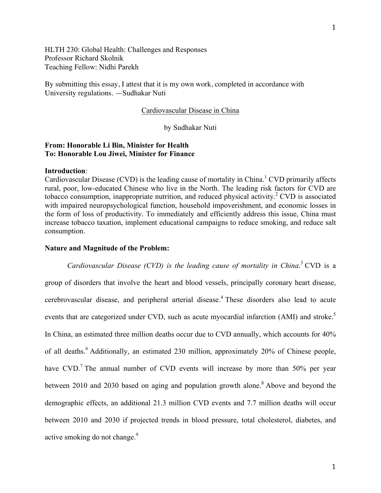HLTH 230: Global Health: Challenges and Responses Professor Richard Skolnik Teaching Fellow: Nidhi Parekh

By submitting this essay, I attest that it is my own work, completed in accordance with University regulations. —Sudhakar Nuti

#### Cardiovascular Disease in China

# by Sudhakar Nuti

# **From: Honorable Li Bin, Minister for Health To: Honorable Lou Jiwei, Minister for Finance**

#### **Introduction**:

Cardiovascular Disease (CVD) is the leading cause of mortality in China.<sup>1</sup> CVD primarily affects rural, poor, low-educated Chinese who live in the North. The leading risk factors for CVD are tobacco consumption, inappropriate nutrition, and reduced physical activity.<sup>2</sup> CVD is associated with impaired neuropsychological function, household impoverishment, and economic losses in the form of loss of productivity. To immediately and efficiently address this issue, China must increase tobacco taxation, implement educational campaigns to reduce smoking, and reduce salt consumption.

### **Nature and Magnitude of the Problem:**

*Cardiovascular Disease (CVD) is the leading cause of mortality in China*. <sup>3</sup> CVD is a group of disorders that involve the heart and blood vessels, principally coronary heart disease, cerebrovascular disease, and peripheral arterial disease. <sup>4</sup> These disorders also lead to acute events that are categorized under CVD, such as acute myocardial infarction (AMI) and stroke.<sup>5</sup> In China, an estimated three million deaths occur due to CVD annually, which accounts for 40% of all deaths.<sup>6</sup> Additionally, an estimated 230 million, approximately 20% of Chinese people, have CVD.<sup>7</sup> The annual number of CVD events will increase by more than 50% per year between 2010 and 2030 based on aging and population growth alone.<sup>8</sup> Above and beyond the demographic effects, an additional 21.3 million CVD events and 7.7 million deaths will occur between 2010 and 2030 if projected trends in blood pressure, total cholesterol, diabetes, and active smoking do not change.<sup>9</sup>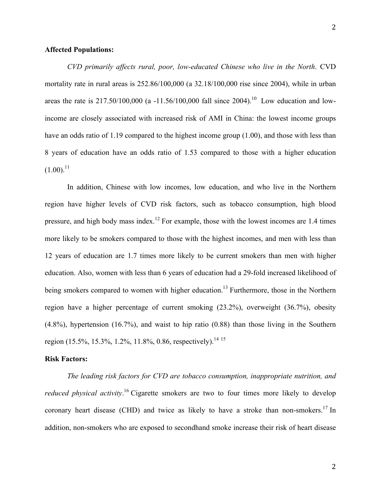### **Affected Populations:**

*CVD primarily affects rural, poor, low-educated Chinese who live in the North*. CVD mortality rate in rural areas is 252.86/100,000 (a 32.18/100,000 rise since 2004), while in urban areas the rate is  $217.50/100,000$  (a  $-11.56/100,000$  fall since 2004).<sup>10</sup> Low education and lowincome are closely associated with increased risk of AMI in China: the lowest income groups have an odds ratio of 1.19 compared to the highest income group (1.00), and those with less than 8 years of education have an odds ratio of 1.53 compared to those with a higher education  $(1.00).^{11}$ 

In addition, Chinese with low incomes, low education, and who live in the Northern region have higher levels of CVD risk factors, such as tobacco consumption, high blood pressure, and high body mass index.<sup>12</sup> For example, those with the lowest incomes are 1.4 times more likely to be smokers compared to those with the highest incomes, and men with less than 12 years of education are 1.7 times more likely to be current smokers than men with higher education. Also, women with less than 6 years of education had a 29-fold increased likelihood of being smokers compared to women with higher education.<sup>13</sup> Furthermore, those in the Northern region have a higher percentage of current smoking (23.2%), overweight (36.7%), obesity (4.8%), hypertension (16.7%), and waist to hip ratio (0.88) than those living in the Southern region (15.5%, 15.3%, 1.2%, 11.8%, 0.86, respectively).<sup>14.15</sup>

#### **Risk Factors:**

*The leading risk factors for CVD are tobacco consumption, inappropriate nutrition, and reduced physical activity*. <sup>16</sup> Cigarette smokers are two to four times more likely to develop coronary heart disease (CHD) and twice as likely to have a stroke than non-smokers.<sup>17</sup> In addition, non-smokers who are exposed to secondhand smoke increase their risk of heart disease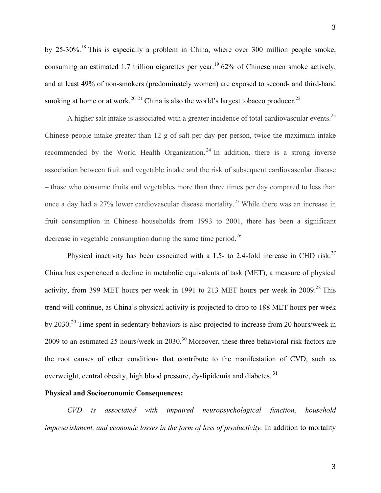by 25-30%.18 This is especially a problem in China, where over 300 million people smoke, consuming an estimated 1.7 trillion cigarettes per year.<sup>19</sup> 62% of Chinese men smoke actively, and at least 49% of non-smokers (predominately women) are exposed to second- and third-hand smoking at home or at work.<sup>20 21</sup> China is also the world's largest tobacco producer.<sup>22</sup>

A higher salt intake is associated with a greater incidence of total cardiovascular events.<sup>23</sup> Chinese people intake greater than 12 g of salt per day per person, twice the maximum intake recommended by the World Health Organization.<sup>24</sup> In addition, there is a strong inverse association between fruit and vegetable intake and the risk of subsequent cardiovascular disease – those who consume fruits and vegetables more than three times per day compared to less than once a day had a 27% lower cardiovascular disease mortality.<sup>25</sup> While there was an increase in fruit consumption in Chinese households from 1993 to 2001, there has been a significant decrease in vegetable consumption during the same time period.<sup>26</sup>

Physical inactivity has been associated with a 1.5- to 2.4-fold increase in CHD risk.<sup>27</sup> China has experienced a decline in metabolic equivalents of task (MET), a measure of physical activity, from 399 MET hours per week in 1991 to 213 MET hours per week in  $2009$ <sup>28</sup> This trend will continue, as China's physical activity is projected to drop to 188 MET hours per week by 2030.<sup>29</sup> Time spent in sedentary behaviors is also projected to increase from 20 hours/week in 2009 to an estimated 25 hours/week in  $2030$ .<sup>30</sup> Moreover, these three behavioral risk factors are the root causes of other conditions that contribute to the manifestation of CVD, such as overweight, central obesity, high blood pressure, dyslipidemia and diabetes.<sup>31</sup>

## **Physical and Socioeconomic Consequences:**

*CVD is associated with impaired neuropsychological function, household impoverishment, and economic losses in the form of loss of productivity.* In addition to mortality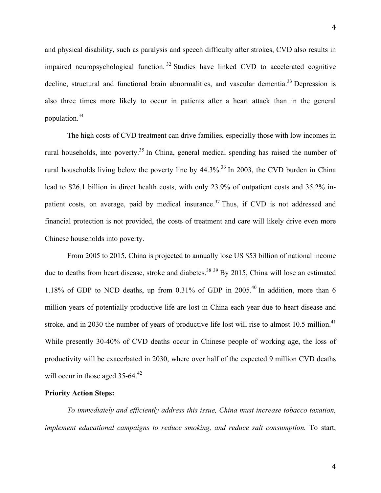and physical disability, such as paralysis and speech difficulty after strokes, CVD also results in impaired neuropsychological function. <sup>32</sup> Studies have linked CVD to accelerated cognitive decline, structural and functional brain abnormalities, and vascular dementia.<sup>33</sup> Depression is also three times more likely to occur in patients after a heart attack than in the general population.34

The high costs of CVD treatment can drive families, especially those with low incomes in rural households, into poverty.<sup>35</sup> In China, general medical spending has raised the number of rural households living below the poverty line by  $44.3\%$ .<sup>36</sup> In 2003, the CVD burden in China lead to \$26.1 billion in direct health costs, with only 23.9% of outpatient costs and 35.2% inpatient costs, on average, paid by medical insurance.<sup>37</sup> Thus, if CVD is not addressed and financial protection is not provided, the costs of treatment and care will likely drive even more Chinese households into poverty.

From 2005 to 2015, China is projected to annually lose US \$53 billion of national income due to deaths from heart disease, stroke and diabetes.<sup>38</sup> <sup>39</sup> By 2015, China will lose an estimated 1.18% of GDP to NCD deaths, up from 0.31% of GDP in 2005.40 In addition, more than 6 million years of potentially productive life are lost in China each year due to heart disease and stroke, and in 2030 the number of years of productive life lost will rise to almost 10.5 million.<sup>41</sup> While presently 30-40% of CVD deaths occur in Chinese people of working age, the loss of productivity will be exacerbated in 2030, where over half of the expected 9 million CVD deaths will occur in those aged 35-64.<sup>42</sup>

## **Priority Action Steps:**

*To immediately and efficiently address this issue, China must increase tobacco taxation, implement educational campaigns to reduce smoking, and reduce salt consumption.* To start,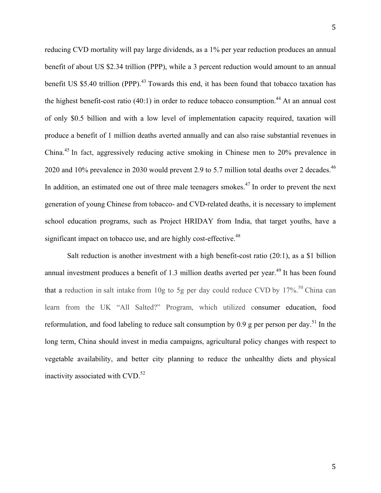reducing CVD mortality will pay large dividends, as a 1% per year reduction produces an annual benefit of about US \$2.34 trillion (PPP), while a 3 percent reduction would amount to an annual benefit US \$5.40 trillion (PPP).<sup>43</sup> Towards this end, it has been found that tobacco taxation has the highest benefit-cost ratio (40:1) in order to reduce tobacco consumption.<sup>44</sup> At an annual cost of only \$0.5 billion and with a low level of implementation capacity required, taxation will produce a benefit of 1 million deaths averted annually and can also raise substantial revenues in China. <sup>45</sup> In fact, aggressively reducing active smoking in Chinese men to 20% prevalence in 2020 and 10% prevalence in 2030 would prevent 2.9 to 5.7 million total deaths over 2 decades.<sup>46</sup> In addition, an estimated one out of three male teenagers smokes.<sup>47</sup> In order to prevent the next generation of young Chinese from tobacco- and CVD-related deaths, it is necessary to implement school education programs, such as Project HRIDAY from India, that target youths, have a significant impact on tobacco use, and are highly cost-effective.<sup>48</sup>

Salt reduction is another investment with a high benefit-cost ratio  $(20:1)$ , as a \$1 billion annual investment produces a benefit of 1.3 million deaths averted per year.<sup>49</sup> It has been found that a reduction in salt intake from 10g to 5g per day could reduce CVD by  $17\%$ <sup>50</sup> China can learn from the UK "All Salted?" Program, which utilized consumer education, food reformulation, and food labeling to reduce salt consumption by 0.9 g per person per day.<sup>51</sup> In the long term, China should invest in media campaigns, agricultural policy changes with respect to vegetable availability, and better city planning to reduce the unhealthy diets and physical inactivity associated with CVD. 52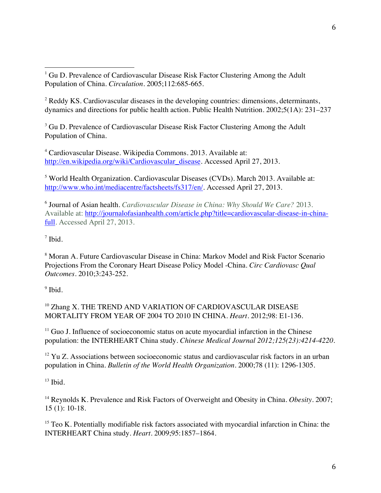<sup>2</sup> Reddy KS. Cardiovascular diseases in the developing countries: dimensions, determinants, dynamics and directions for public health action. Public Health Nutrition. 2002;5(1A): 231–237

<sup>3</sup> Gu D. Prevalence of Cardiovascular Disease Risk Factor Clustering Among the Adult Population of China.

<sup>4</sup> Cardiovascular Disease. Wikipedia Commons. 2013. Available at: http://en.wikipedia.org/wiki/Cardiovascular\_disease. Accessed April 27, 2013.

<sup>5</sup> World Health Organization. Cardiovascular Diseases (CVDs). March 2013. Available at: http://www.who.int/mediacentre/factsheets/fs317/en/. Accessed April 27, 2013.

<sup>6</sup> Journal of Asian health. *Cardiovascular Disease in China: Why Should We Care?* 2013. Available at: http://journalofasianhealth.com/article.php?title=cardiovascular-disease-in-chinafull. Accessed April 27, 2013.

<sup>7</sup> Ibid.

<sup>8</sup> Moran A. Future Cardiovascular Disease in China: Markov Model and Risk Factor Scenario Projections From the Coronary Heart Disease Policy Model -China. *Circ Cardiovasc Qual Outcomes.* 2010;3:243-252.

 $<sup>9</sup>$  Ibid.</sup>

<sup>10</sup> Zhang X. THE TREND AND VARIATION OF CARDIOVASCULAR DISEASE MORTALITY FROM YEAR OF 2004 TO 2010 IN CHINA. *Heart.* 2012;98: E1-136.

 $11$  Guo J. Influence of socioeconomic status on acute myocardial infarction in the Chinese population: the INTERHEART China study. *Chinese Medical Journal 2012;125(23):4214-4220.*

<sup>12</sup> Yu Z. Associations between socioeconomic status and cardiovascular risk factors in an urban population in China. *Bulletin of the World Health Organization.* 2000;78 (11): 1296-1305.

 $13$  Ibid.

<sup>14</sup> Reynolds K. Prevalence and Risk Factors of Overweight and Obesity in China. *Obesity*. 2007; 15 (1): 10-18.

<sup>15</sup> Teo K. Potentially modifiable risk factors associated with myocardial infarction in China: the INTERHEART China study. *Heart.* 2009;95:1857–1864.

 <sup>1</sup> Gu D. Prevalence of Cardiovascular Disease Risk Factor Clustering Among the Adult Population of China. *Circulation*. 2005;112:685-665.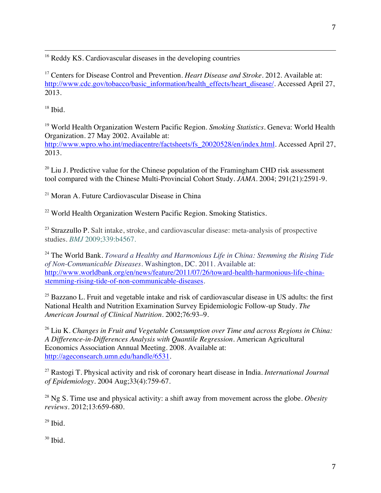<sup>16</sup> Reddy KS. Cardiovascular diseases in the developing countries

<sup>17</sup> Centers for Disease Control and Prevention. *Heart Disease and Stroke*. 2012. Available at: http://www.cdc.gov/tobacco/basic\_information/health\_effects/heart\_disease/. Accessed April 27, 2013.

<u> 1989 - Andrea San Andrea San Andrea San Andrea San Andrea San Andrea San Andrea San Andrea San Andrea San An</u>

 $18$  Ibid.

<sup>19</sup> World Health Organization Western Pacific Region. *Smoking Statistics*. Geneva: World Health Organization. 27 May 2002. Available at:

http://www.wpro.who.int/mediacentre/factsheets/fs\_20020528/en/index.html. Accessed April 27, 2013.

 $20$  Liu J. Predictive value for the Chinese population of the Framingham CHD risk assessment tool compared with the Chinese Multi-Provincial Cohort Study. *JAMA*. 2004; 291(21):2591-9.

<sup>21</sup> Moran A. Future Cardiovascular Disease in China

<sup>22</sup> World Health Organization Western Pacific Region. Smoking Statistics.

 $23$  Strazzullo P. Salt intake, stroke, and cardiovascular disease: meta-analysis of prospective studies. *BMJ* 2009;339:b4567.

<sup>24</sup> The World Bank. *Toward a Healthy and Harmonious Life in China: Stemming the Rising Tide of Non-Communicable Diseases*. Washington, DC. 2011. Available at: http://www.worldbank.org/en/news/feature/2011/07/26/toward-health-harmonious-life-chinastemming-rising-tide-of-non-communicable-diseases.

 $25$  Bazzano L. Fruit and vegetable intake and risk of cardiovascular disease in US adults: the first National Health and Nutrition Examination Survey Epidemiologic Follow-up Study. *The American Journal of Clinical Nutrition*. 2002;76:93–9.

<sup>26</sup> Liu K. *Changes in Fruit and Vegetable Consumption over Time and across Regions in China: A Difference-in-Differences Analysis with Quantile Regression.* American Agricultural Economics Association Annual Meeting. 2008. Available at: http://ageconsearch.umn.edu/handle/6531.

<sup>27</sup> Rastogi T. Physical activity and risk of coronary heart disease in India. *International Journal of Epidemiology.* 2004 Aug;33(4):759-67.

<sup>28</sup> Ng S. Time use and physical activity: a shift away from movement across the globe. *Obesity reviews*. 2012;13:659-680.

 $29$  Ibid.

 $30$  Ibid.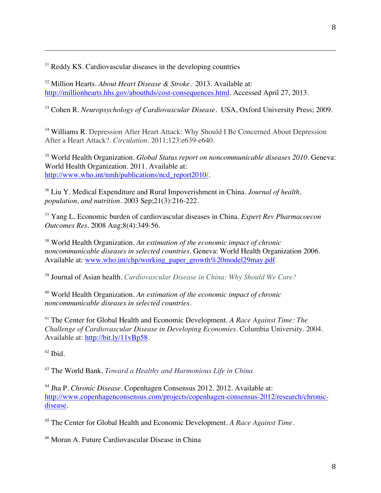$31$  Reddy KS. Cardiovascular diseases in the developing countries

<sup>32</sup> Million Hearts. *About Heart Disease & Stroke*. 2013. Available at: http://millionhearts.hhs.gov/abouthds/cost-consequences.html. Accessed April 27, 2013.

<sup>33</sup> Cohen R. *Neuropsychology of Cardiovascular Disease*. USA, Oxford University Press; 2009.

<u> 1989 - Andrea San Andrea San Andrea San Andrea San Andrea San Andrea San Andrea San Andrea San Andrea San An</u>

<sup>34</sup> Williams R. Depression After Heart Attack: Why Should I Be Concerned About Depression After a Heart Attack?. *Circulation.* 2011;123:e639-e640.

<sup>35</sup> World Health Organization. *Global Status report on noncommunicable diseases 2010*. Geneva: World Health Organization. 2011. Available at: http://www.who.int/nmh/publications/ncd\_report2010/.

<sup>36</sup> Liu Y. Medical Expenditure and Rural Impoverishment in China. *Journal of health, population, and nutrition.* 2003 Sep;21(3):216-222.

<sup>37</sup> Yang L. Economic burden of cardiovascular diseases in China. *Expert Rev Pharmacoecon Outcomes Res*. 2008 Aug;8(4):349-56.

<sup>38</sup> World Health Organization. *An estimation of the economic impact of chronic noncommunicable diseases in selected countries.* Geneva: World Health Organization 2006. Available at: www.who.int/chp/working\_paper\_growth%20model29may.pdf.

<sup>39</sup> Journal of Asian health. *Cardiovascular Disease in China: Why Should We Care?*

<sup>40</sup> World Health Organization. *An estimation of the economic impact of chronic noncommunicable diseases in selected countries.*

<sup>41</sup> The Center for Global Health and Economic Development. *A Race Against Time: The Challenge of Cardiovascular Disease in Developing Economies*. Columbia University. 2004. Available at: http://bit.ly/11vBp58.

 $42$  Ibid.

<sup>43</sup> The World Bank. *Toward a Healthy and Harmonious Life in China*

<sup>44</sup> Jha P. *Chronic Disease*. Copenhagen Consensus 2012. 2012. Available at: http://www.copenhagenconsensus.com/projects/copenhagen-consensus-2012/research/chronicdisease.

<sup>45</sup> The Center for Global Health and Economic Development. *A Race Against Time.*

<sup>46</sup> Moran A. Future Cardiovascular Disease in China